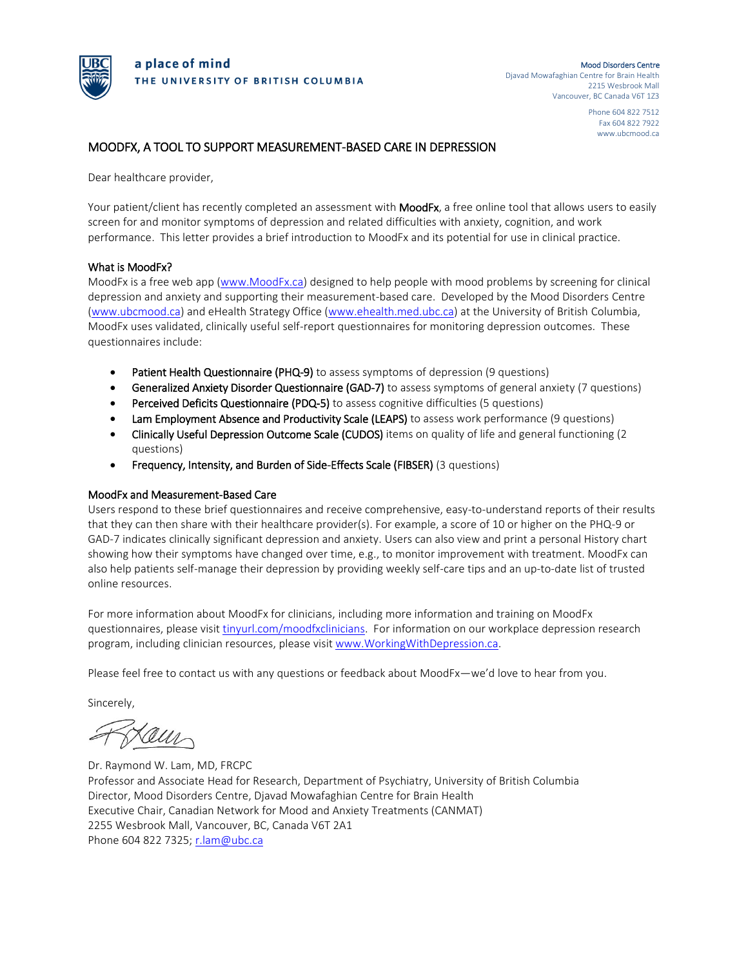

 Phone 604 822 7512 Fax 604 822 7922 www.ubcmood.ca

#### MOODFX, A TOOL TO SUPPORT MEASUREMENT-BASED CARE IN DEPRESSION

Dear healthcare provider,

Your patient/client has recently completed an assessment with MoodFx, a free online tool that allows users to easily screen for and monitor symptoms of depression and related difficulties with anxiety, cognition, and work performance. This letter provides a brief introduction to MoodFx and its potential for use in clinical practice.

#### What is MoodFx?

MoodFx is a free web app [\(www.MoodFx.ca\)](http://www.moodfx.ca/) designed to help people with mood problems by screening for clinical depression and anxiety and supporting their measurement-based care. Developed by the Mood Disorders Centre [\(www.ubcmood.ca\)](http://www.ubcmood.ca/) and eHealth Strategy Office [\(www.ehealth.med.ubc.ca\)](http://www.ehealth.med.ubc.ca/) at the University of British Columbia, MoodFx uses validated, clinically useful self-report questionnaires for monitoring depression outcomes. These questionnaires include:

- Patient Health Questionnaire (PHQ-9) to assess symptoms of depression (9 questions)
- **Generalized Anxiety Disorder Questionnaire (GAD-7)** to assess symptoms of general anxiety (7 questions)
- Perceived Deficits Questionnaire (PDQ-5) to assess cognitive difficulties (5 questions)
- Lam Employment Absence and Productivity Scale (LEAPS) to assess work performance (9 questions)
- Clinically Useful Depression Outcome Scale (CUDOS) items on quality of life and general functioning (2 questions)
- Frequency, Intensity, and Burden of Side-Effects Scale (FIBSER) (3 questions)

#### MoodFx and Measurement-Based Care

Users respond to these brief questionnaires and receive comprehensive, easy-to-understand reports of their results that they can then share with their healthcare provider(s). For example, a score of 10 or higher on the PHQ-9 or GAD-7 indicates clinically significant depression and anxiety. Users can also view and print a personal History chart showing how their symptoms have changed over time, e.g., to monitor improvement with treatment. MoodFx can also help patients self-manage their depression by providing weekly self-care tips and an up-to-date list of trusted online resources.

For more information about MoodFx for clinicians, including more information and training on MoodFx questionnaires, please visi[t tinyurl.com/moodfxclinicians.](http://www.tinyurl.com/moodfxclinicians) For information on our workplace depression research program, including clinician resources, please visit [www.WorkingWithDepression.ca.](http://www.workingwithdepression.ca/)

Please feel free to contact us with any questions or feedback about MoodFx—we'd love to hear from you.

Sincerely,

au

Dr. Raymond W. Lam, MD, FRCPC Professor and Associate Head for Research, Department of Psychiatry, University of British Columbia Director, Mood Disorders Centre, Djavad Mowafaghian Centre for Brain Health Executive Chair, Canadian Network for Mood and Anxiety Treatments (CANMAT) 2255 Wesbrook Mall, Vancouver, BC, Canada V6T 2A1 Phone 604 822 7325; [r.lam@ubc.ca](mailto:r.lam@ubc.ca)